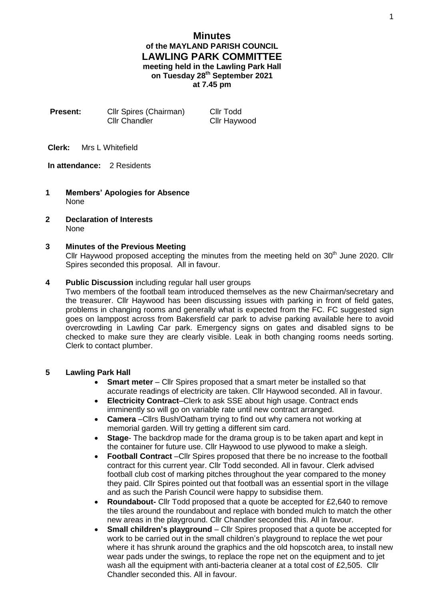# **Minutes of the MAYLAND PARISH COUNCIL LAWLING PARK COMMITTEE meeting held in the Lawling Park Hall on Tuesday 28th September 2021 at 7.45 pm**

| <b>Present:</b> | Cllr Spires (Chairman) | Cllr Todd           |
|-----------------|------------------------|---------------------|
|                 | <b>Cllr Chandler</b>   | <b>Cllr Haywood</b> |

**Clerk:** Mrs L Whitefield

**In attendance:** 2 Residents

- **1 Members' Apologies for Absence** None
- **2 Declaration of Interests** None

### **3 Minutes of the Previous Meeting**

Cllr Haywood proposed accepting the minutes from the meeting held on  $30<sup>th</sup>$  June 2020. Cllr Spires seconded this proposal. All in favour.

### **4 Public Discussion** including regular hall user groups

Two members of the football team introduced themselves as the new Chairman/secretary and the treasurer. Cllr Haywood has been discussing issues with parking in front of field gates, problems in changing rooms and generally what is expected from the FC. FC suggested sign goes on lamppost across from Bakersfield car park to advise parking available here to avoid overcrowding in Lawling Car park. Emergency signs on gates and disabled signs to be checked to make sure they are clearly visible. Leak in both changing rooms needs sorting. Clerk to contact plumber.

#### **5 Lawling Park Hall**

- **Smart meter** Cllr Spires proposed that a smart meter be installed so that accurate readings of electricity are taken. Cllr Haywood seconded. All in favour.
- **Electricity Contract**–Clerk to ask SSE about high usage. Contract ends imminently so will go on variable rate until new contract arranged.
- **Camera** –Cllrs Bush/Oatham trying to find out why camera not working at memorial garden. Will try getting a different sim card.
- **Stage** The backdrop made for the drama group is to be taken apart and kept in the container for future use. Cllr Haywood to use plywood to make a sleigh.
- **Football Contract** –Cllr Spires proposed that there be no increase to the football contract for this current year. Cllr Todd seconded. All in favour. Clerk advised football club cost of marking pitches throughout the year compared to the money they paid. Cllr Spires pointed out that football was an essential sport in the village and as such the Parish Council were happy to subsidise them.
- **Roundabout-** Cllr Todd proposed that a quote be accepted for £2,640 to remove the tiles around the roundabout and replace with bonded mulch to match the other new areas in the playground. Cllr Chandler seconded this. All in favour.
- **Small children's playground** Cllr Spires proposed that a quote be accepted for work to be carried out in the small children's playground to replace the wet pour where it has shrunk around the graphics and the old hopscotch area, to install new wear pads under the swings, to replace the rope net on the equipment and to jet wash all the equipment with anti-bacteria cleaner at a total cost of £2,505. Cllr Chandler seconded this. All in favour.